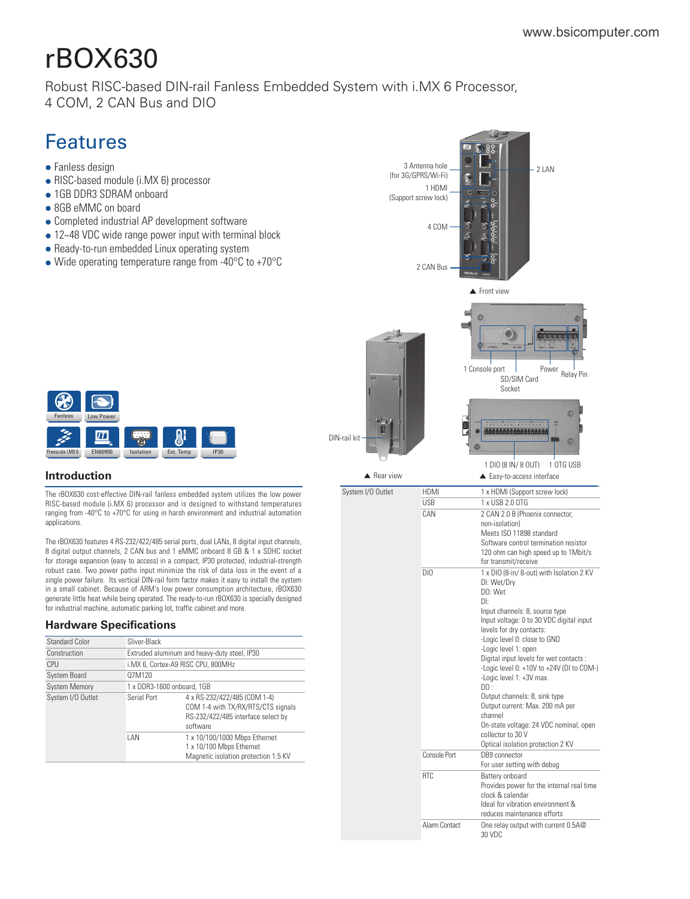# rBOX630

[Robust RISC-based DIN-rail Fanless Embedded System with i.MX 6 Processor,](https://www.bsicomputer.com/products/rbox630-23787)  4 COM, 2 CAN Bus and DIO

# Features

- $\bullet$  Fanless design
- RISC-based module (i.MX 6) processor
- 1GB DDR3 SDRAM onboard
- 8GB eMMC on board
- Completed industrial AP development software
- 12~48 VDC wide range power input with terminal block
- Ready-to-run embedded Linux operating system
- $\bullet$  Wide operating temperature range from -40 $\degree$ C to +70 $\degree$ C



# **Introduction**

The rBOX630 cost-effective DIN-rail fanless embedded system utilizes the low power RISC-based module (i.MX 6) processor and is designed to withstand temperatures ranging from -40°C to +70°C for using in harsh environment and industrial automation applications.

The rBOX630 features 4 RS-232/422/485 serial ports, dual LANs, 8 digital input channels, 8 digital output channels, 2 CAN bus and 1 eMMC onboard 8 GB & 1 x SDHC socket for storage expansion (easy to access) in a compact, IP30 protected, industrial-strength robust case. Two power paths input minimize the risk of data loss in the event of a single power failure. Its vertical DIN-rail form factor makes it easy to install the system in a small cabinet. Because of ARM's low power consumption architecture, rBOX630 generate little heat while being operated. The ready-to-run rBOX630 is specially designed for industrial machine, automatic parking lot, traffic cabinet and more.

## **Hardware Specifications**

| <b>Standard Color</b> | Sliver-Black |                                                                                                                      |  |  |
|-----------------------|--------------|----------------------------------------------------------------------------------------------------------------------|--|--|
| Construction          |              | Extruded aluminum and heavy-duty steel, IP30                                                                         |  |  |
| CPU                   |              | i.MX 6, Cortex-A9 RISC CPU, 800MHz                                                                                   |  |  |
| <b>System Board</b>   | 07M120       |                                                                                                                      |  |  |
| <b>System Memory</b>  |              | 1 x DDR3-1600 onboard, 1GB                                                                                           |  |  |
| System I/O Outlet     | Serial Port  | 4 x RS-232/422/485 (COM 1-4)<br>COM 1-4 with TX/RX/RTS/CTS signals<br>RS-232/422/485 interface select by<br>software |  |  |
|                       | <b>IAN</b>   | 1 x 10/100/1000 Mbps Ethernet<br>1 x 10/100 Mbps Ethernet<br>Magnetic isolation protection 1.5 KV                    |  |  |